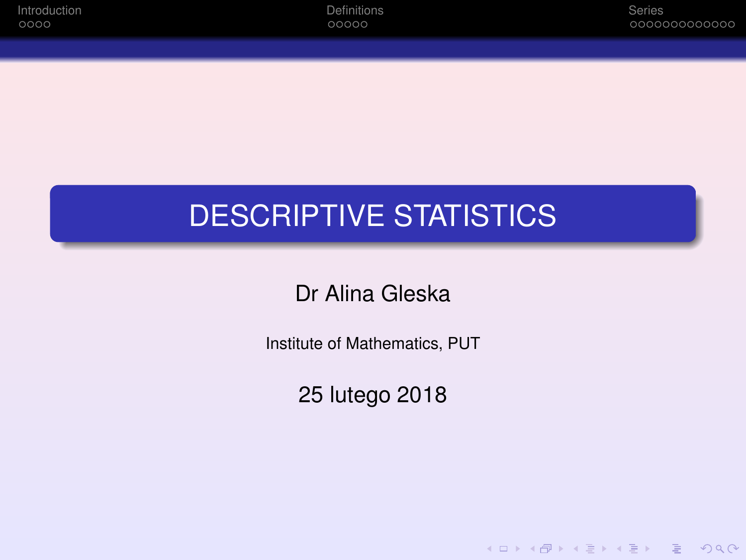K ロ ▶ K @ ▶ K 할 ▶ K 할 ▶ | 할 | © Q Q @

# <span id="page-0-0"></span>DESCRIPTIVE STATISTICS

Dr Alina Gleska

Institute of Mathematics, PUT

25 lutego 2018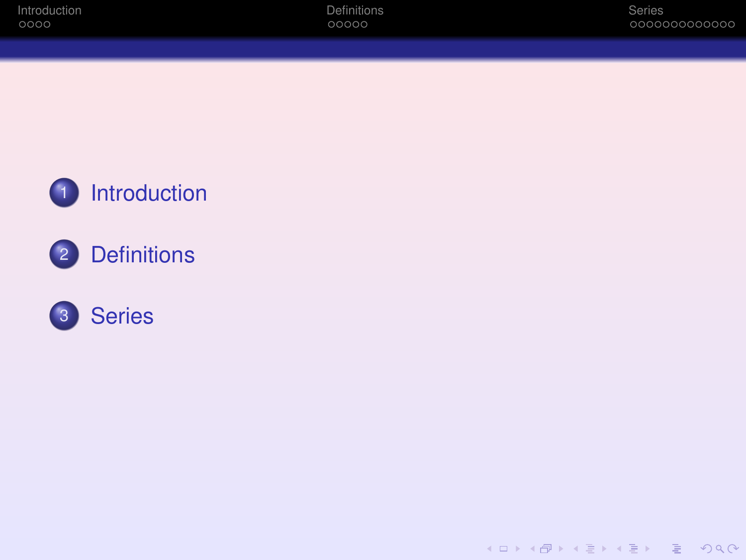





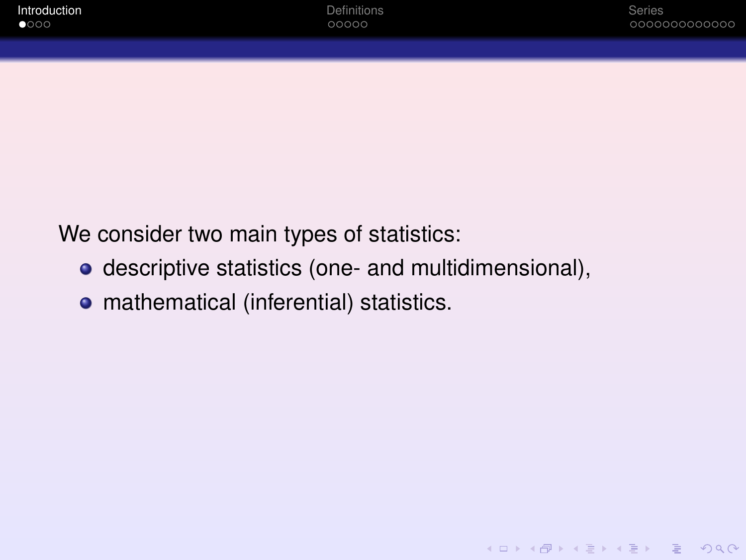KID KARA KE KAEK LE YO GO

<span id="page-2-0"></span>We consider two main types of statistics:

- descriptive statistics (one- and multidimensional),
- **•** mathematical (inferential) statistics.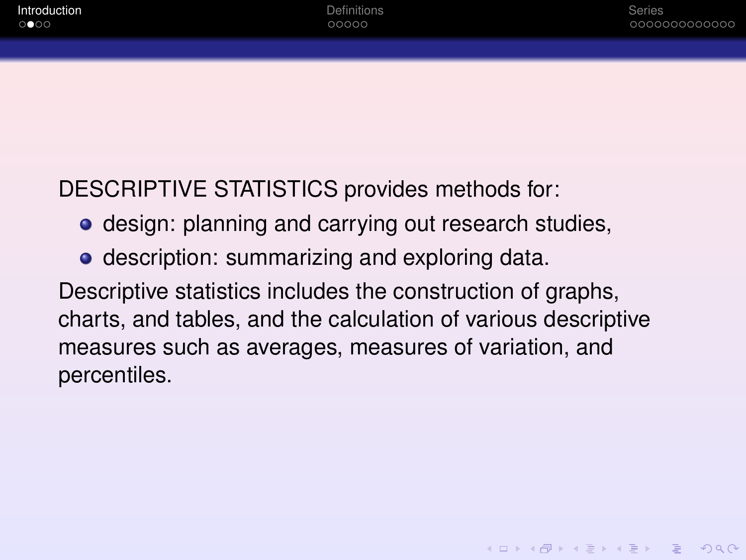DESCRIPTIVE STATISTICS provides methods for:

- **o** design: planning and carrying out research studies,
- **•** description: summarizing and exploring data.

Descriptive statistics includes the construction of graphs, charts, and tables, and the calculation of various descriptive measures such as averages, measures of variation, and percentiles.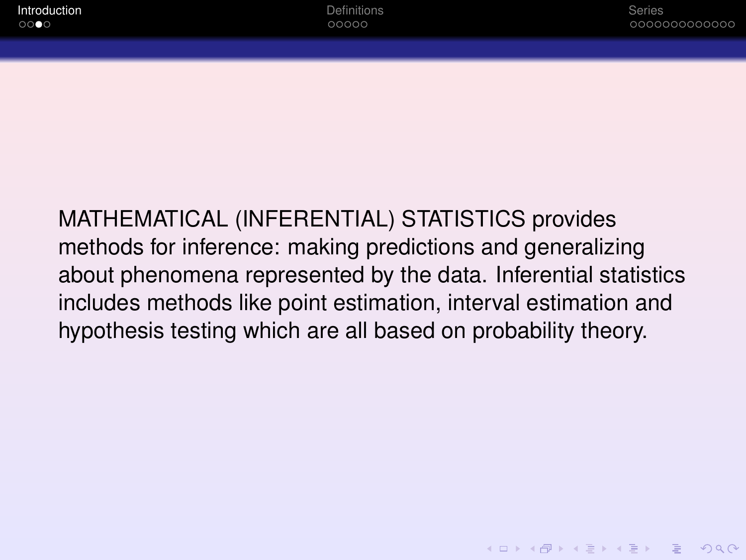**KOD CONTRACT A BOARD OF A GOV** 

MATHEMATICAL (INFERENTIAL) STATISTICS provides methods for inference: making predictions and generalizing about phenomena represented by the data. Inferential statistics includes methods like point estimation, interval estimation and hypothesis testing which are all based on probability theory.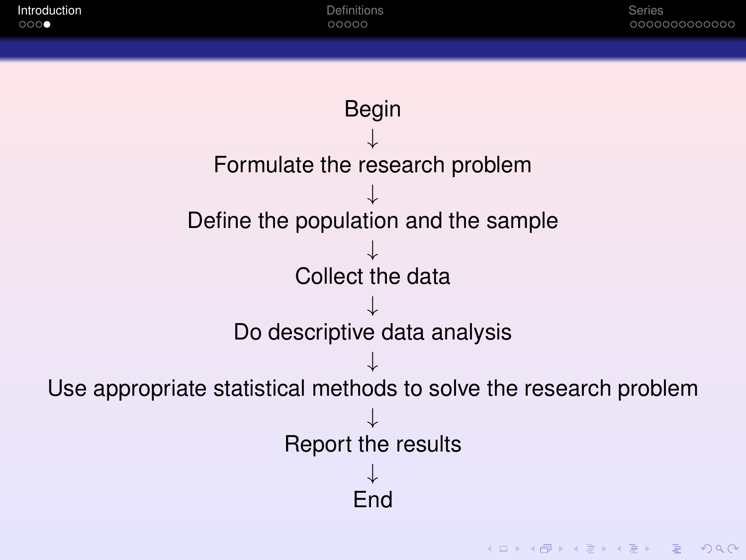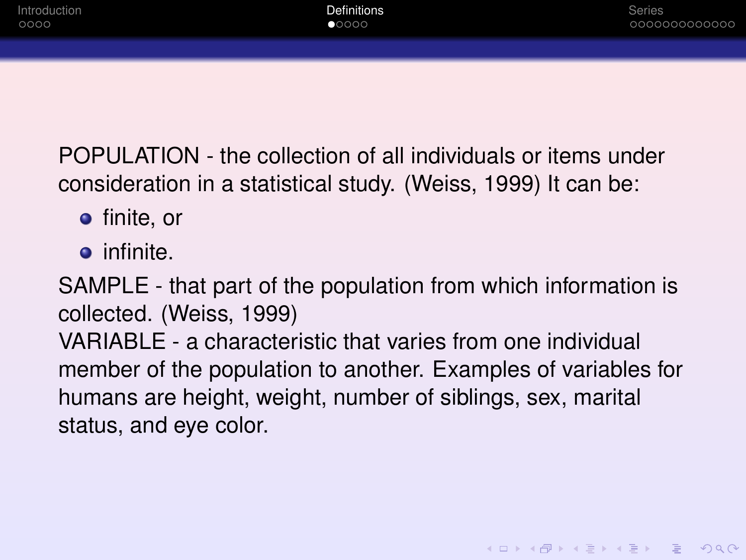<span id="page-6-0"></span>POPULATION - the collection of all individuals or items under consideration in a statistical study. (Weiss, 1999) It can be:

- **•** finite, or
- **o** infinite.

SAMPLE - that part of the population from which information is collected. (Weiss, 1999)

VARIABLE - a characteristic that varies from one individual member of the population to another. Examples of variables for humans are height, weight, number of siblings, sex, marital status, and eye color.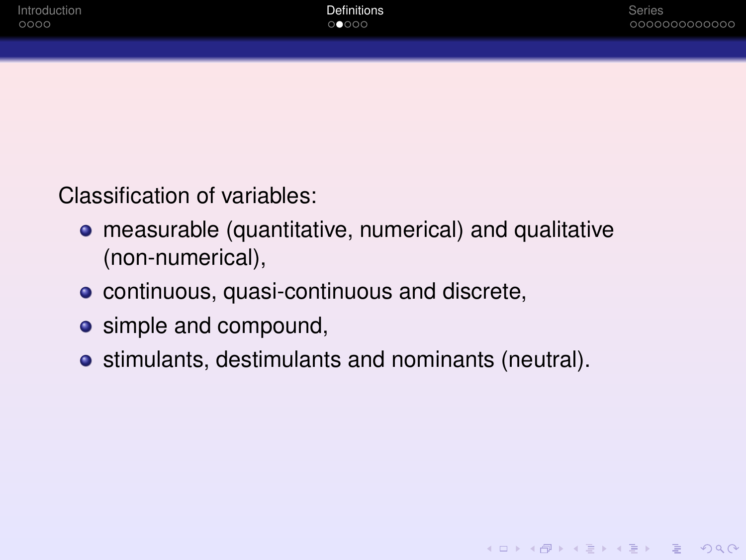Classification of variables:

- measurable (quantitative, numerical) and qualitative (non-numerical),
- **•** continuous, quasi-continuous and discrete,
- simple and compound,
- stimulants, destimulants and nominants (neutral).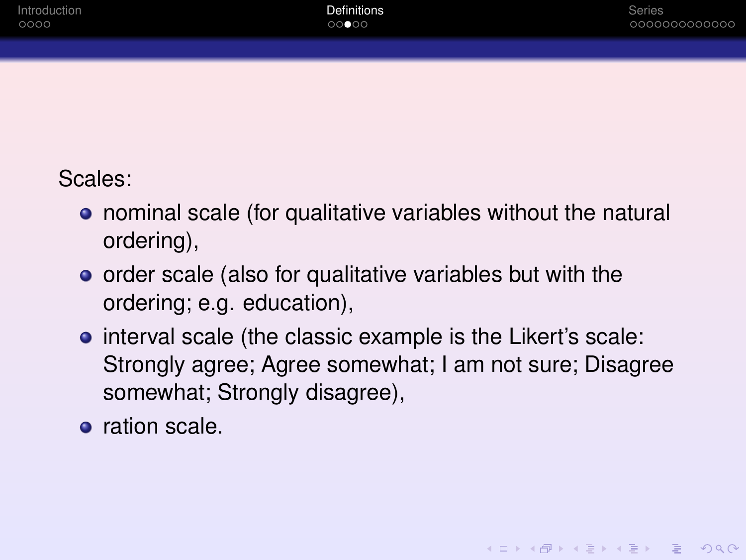#### Scales:

- nominal scale (for qualitative variables without the natural ordering),
- **•** order scale (also for qualitative variables but with the ordering; e.g. education),
- **•** interval scale (the classic example is the Likert's scale: Strongly agree; Agree somewhat; I am not sure; Disagree somewhat; Strongly disagree),
- **o** ration scale.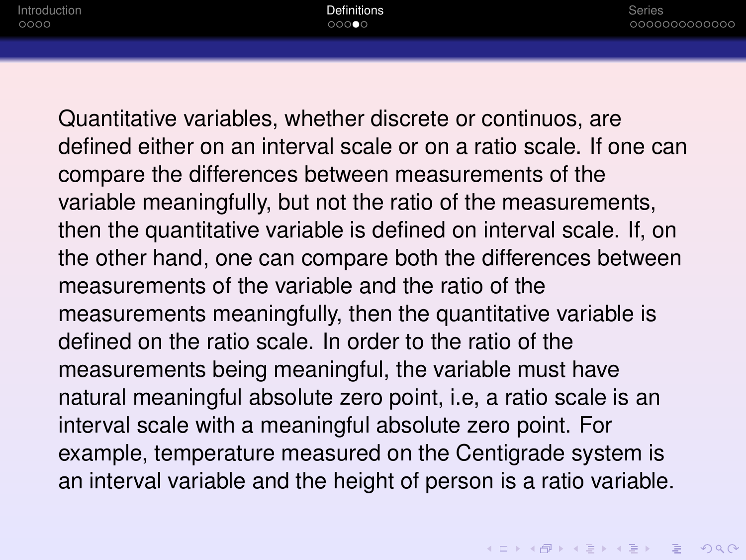Quantitative variables, whether discrete or continuos, are defined either on an interval scale or on a ratio scale. If one can compare the differences between measurements of the variable meaningfully, but not the ratio of the measurements, then the quantitative variable is defined on interval scale. If, on the other hand, one can compare both the differences between measurements of the variable and the ratio of the measurements meaningfully, then the quantitative variable is defined on the ratio scale. In order to the ratio of the measurements being meaningful, the variable must have natural meaningful absolute zero point, i.e, a ratio scale is an interval scale with a meaningful absolute zero point. For example, temperature measured on the Centigrade system is an interval variable and the height of person is a ratio variable.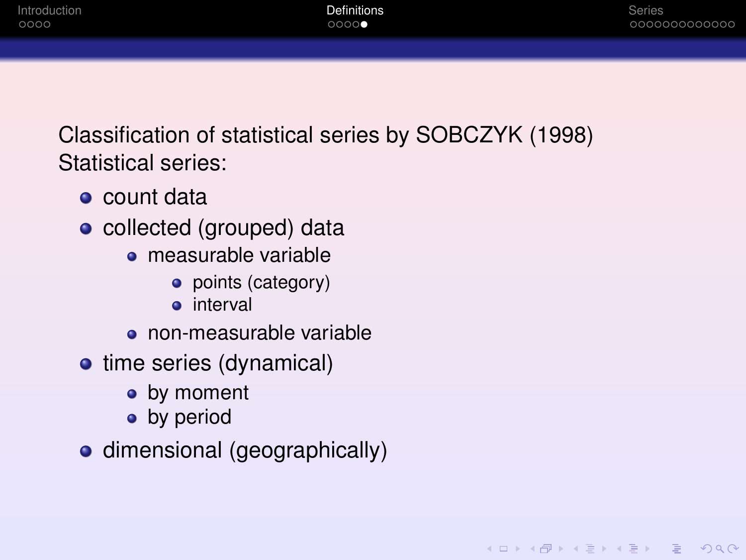KEL KARIKEN (EN 1990)

<span id="page-10-0"></span>Classification of statistical series by SOBCZYK (1998) Statistical series:

- count data
- collected (grouped) data
	- measurable variable
		- points (category)
		- interval
	- non-measurable variable
- time series (dynamical)
	- by moment
	- by period
- dimensional (geographically)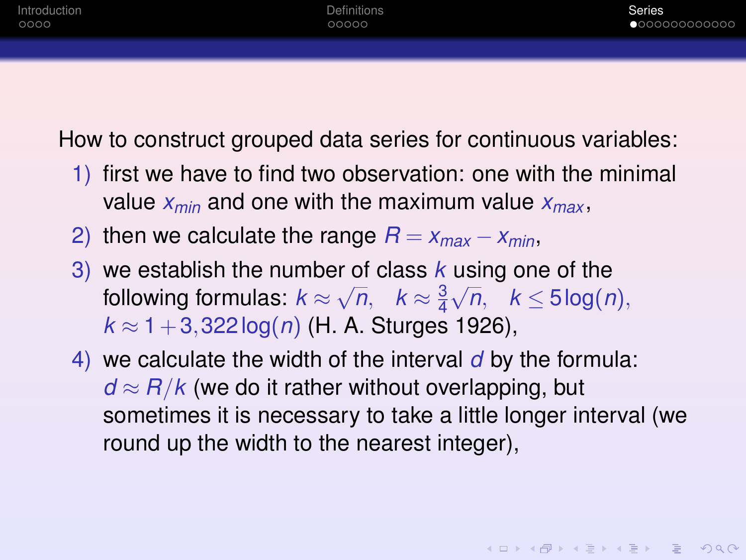<span id="page-11-0"></span>How to construct grouped data series for continuous variables:

- 1) first we have to find two observation: one with the minimal value *xmin* and one with the maximum value *xmax* ,
- 2) then we calculate the range  $R = x_{max} x_{min}$ ,
- 3) we establish the number of class *k* using one of the following formulas:  $k$   $\approx$ √  $\overline{n}$ ,  $k \approx \frac{3}{4}$ 4 √ *n*, *k* ≤ 5 log(*n*),  $k \approx 1 + 3,322 \log(n)$  (H. A. Sturges 1926),
- 4) we calculate the width of the interval *d* by the formula:  $d \approx R/k$  (we do it rather without overlapping, but sometimes it is necessary to take a little longer interval (we round up the width to the nearest integer),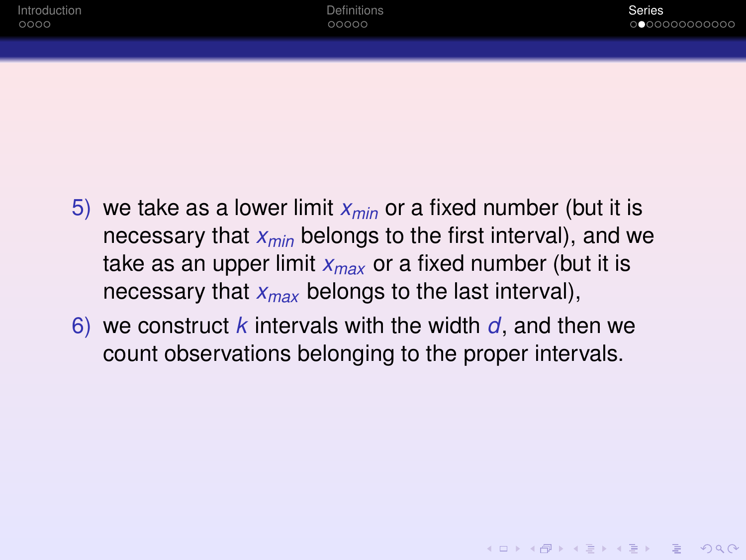**KOD KAD KED KED E VAN** 

- 5) we take as a lower limit *xmin* or a fixed number (but it is necessary that *xmin* belongs to the first interval), and we take as an upper limit *xmax* or a fixed number (but it is necessary that *xmax* belongs to the last interval),
- 6) we construct *k* intervals with the width *d*, and then we count observations belonging to the proper intervals.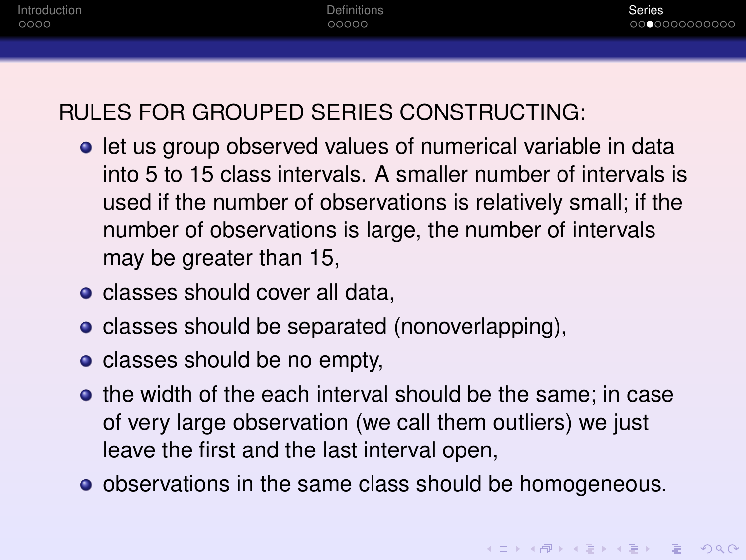## RULES FOR GROUPED SERIES CONSTRUCTING:

- **.** let us group observed values of numerical variable in data into 5 to 15 class intervals. A smaller number of intervals is used if the number of observations is relatively small; if the number of observations is large, the number of intervals may be greater than 15,
- classes should cover all data.
- classes should be separated (nonoverlapping),
- classes should be no empty,
- **•** the width of the each interval should be the same; in case of very large observation (we call them outliers) we just leave the first and the last interval open,
- observations in the same class should be homogeneous.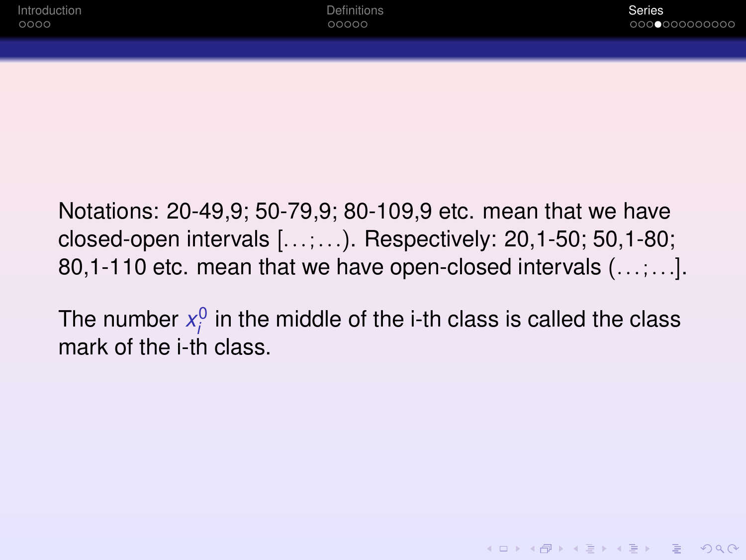**KORKAR KERKER E VOOR** 

Notations: 20-49,9; 50-79,9; 80-109,9 etc. mean that we have closed-open intervals [...;...). Respectively: 20,1-50; 50,1-80; 80,1-110 etc. mean that we have open-closed intervals (...;...].

The number  $x_i^0$  in the middle of the i-th class is called the class mark of the i-th class.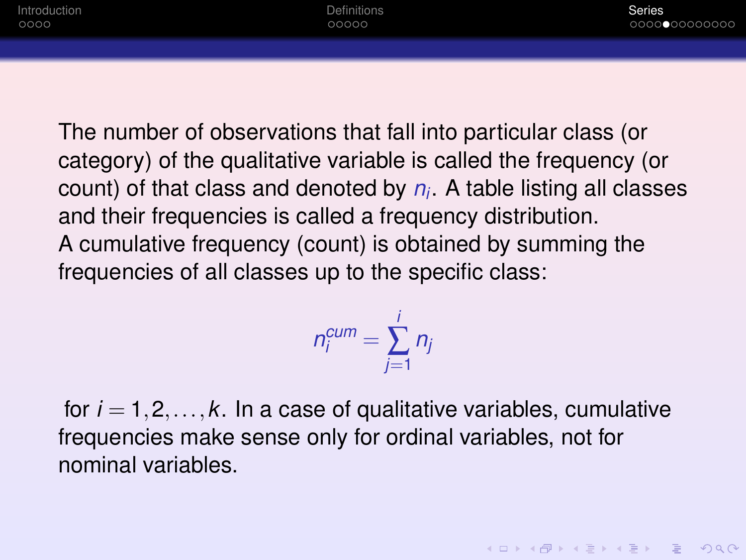The number of observations that fall into particular class (or category) of the qualitative variable is called the frequency (or count) of that class and denoted by *n<sup>i</sup>* . A table listing all classes and their frequencies is called a frequency distribution. A cumulative frequency (count) is obtained by summing the frequencies of all classes up to the specific class:

$$
n_i^{cum} = \sum_{j=1}^i n_j
$$

for  $i = 1, 2, \ldots, k$ . In a case of qualitative variables, cumulative frequencies make sense only for ordinal variables, not for nominal variables.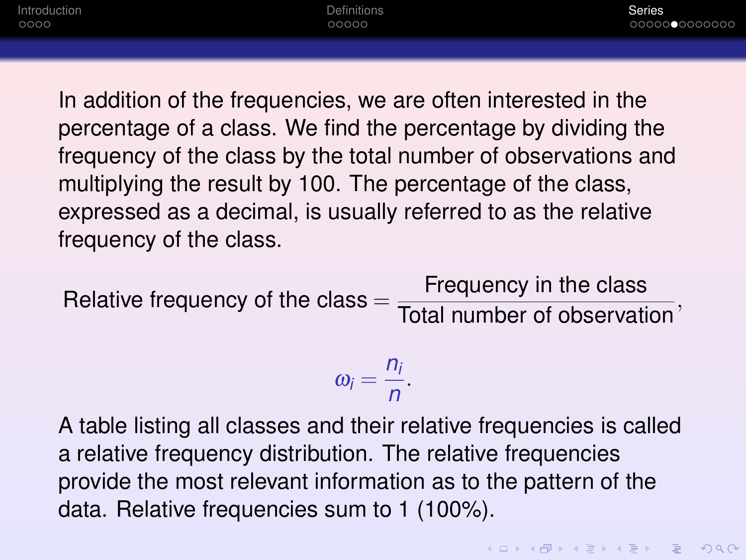In addition of the frequencies, we are often interested in the percentage of a class. We find the percentage by dividing the frequency of the class by the total number of observations and multiplying the result by 100. The percentage of the class, expressed as a decimal, is usually referred to as the relative frequency of the class.

Relative frequency of the class  $=$   $\frac{1}{\text{Total number of observation}}$ , Frequency in the class

$$
\omega_i=\frac{n_i}{n}.
$$

A table listing all classes and their relative frequencies is called a relative frequency distribution. The relative frequencies provide the most relevant information as to the pattern of the data. Relative frequencies sum to 1 (100%).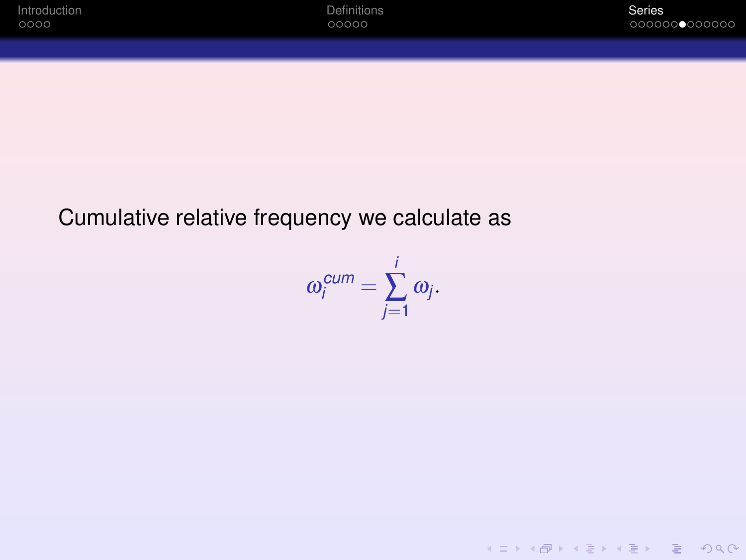KID KARA KE KAEK LE YO GO

#### Cumulative relative frequency we calculate as

$$
\omega_i^{cum}=\sum_{j=1}^i \omega_j.
$$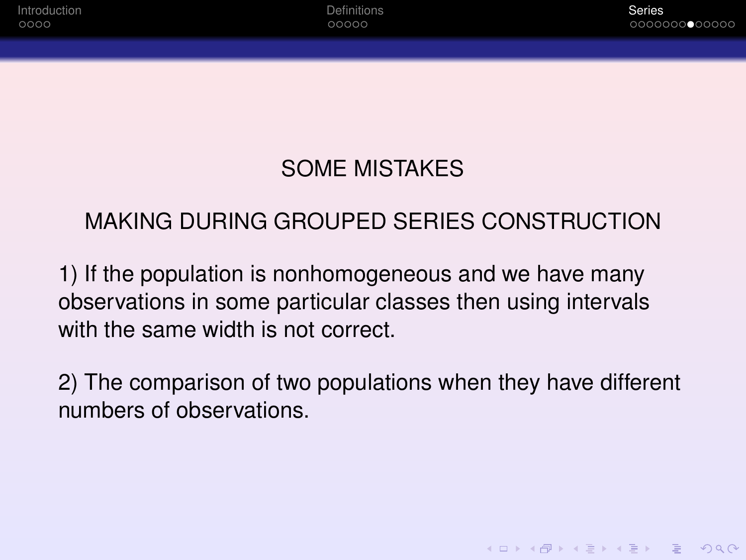KEL KARIKEN (EN 1990)

## SOME MISTAKES

## <span id="page-18-0"></span>MAKING DURING GROUPED SERIES CONSTRUCTION

1) If the population is nonhomogeneous and we have many observations in some particular classes then using intervals with the same width is not correct.

2) The comparison of two populations when they have different numbers of observations.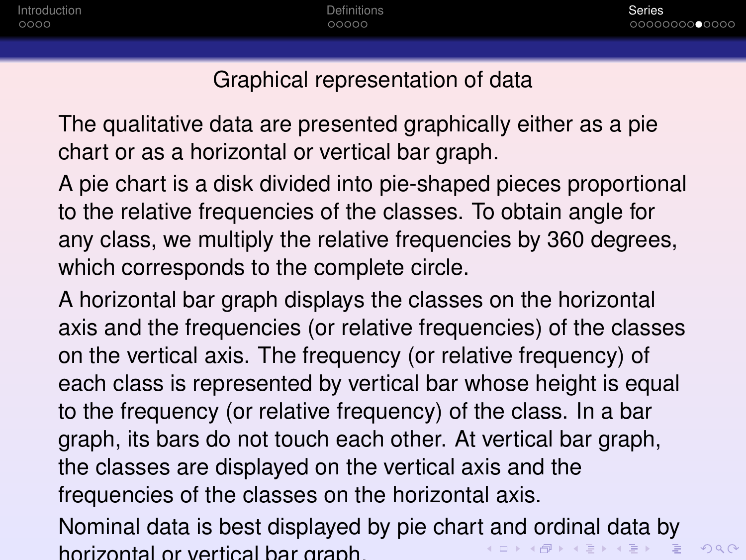$2Q$ 

#### Graphical representation of data

<span id="page-19-0"></span>The qualitative data are presented graphically either as a pie chart or as a horizontal or vertical bar graph.

A pie chart is a disk divided into pie-shaped pieces proportional to the relative frequencies of the classes. To obtain angle for any class, we multiply the relative frequencies by 360 degrees, which corresponds to the complete circle.

A horizontal bar graph displays the classes on the horizontal axis and the frequencies (or relative frequencies) of the classes on the vertical axis. The frequency (or relative frequency) of each class is represented by vertical bar whose height is equal to the frequency (or relative frequency) of the class. In a bar graph, its bars do not touch each other. At vertical bar graph, the classes are displayed on the vertical axis and the frequencies of the classes on the horizontal axis.

Nominal data is best displayed by pie char[t a](#page-18-0)[nd](#page-20-0)[or](#page-19-0)[d](#page-20-0)[in](#page-18-0)[al](#page-19-0)[d](#page-10-0)[a](#page-11-0)[ta](#page-23-0) [b](#page-0-0)[y](#page-23-0)  $\left\{ \begin{array}{ccc} 1 & 0 & 0 \\ 0 & 1 & 0 \end{array} \right.$ horizontal or vertical bar graph.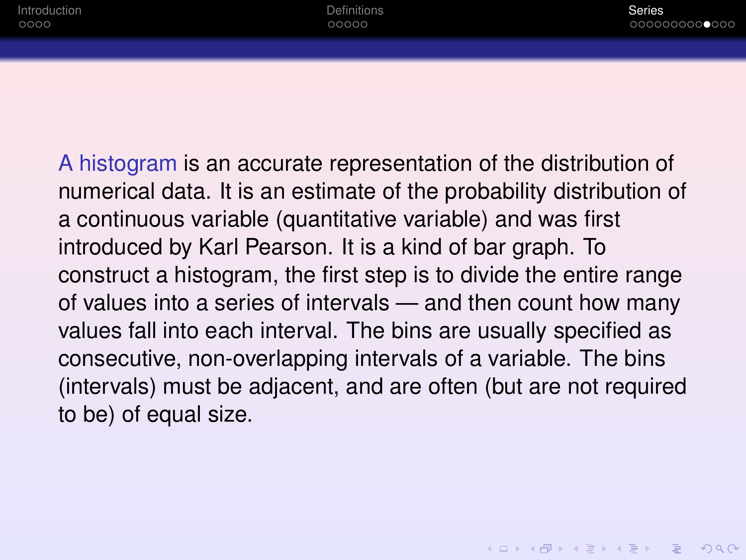**KOD KAD KED KED E VAN** 

<span id="page-20-0"></span>A histogram is an accurate representation of the distribution of numerical data. It is an estimate of the probability distribution of a continuous variable (quantitative variable) and was first introduced by Karl Pearson. It is a kind of bar graph. To construct a histogram, the first step is to divide the entire range of values into a series of intervals — and then count how many values fall into each interval. The bins are usually specified as consecutive, non-overlapping intervals of a variable. The bins (intervals) must be adjacent, and are often (but are not required to be) of equal size.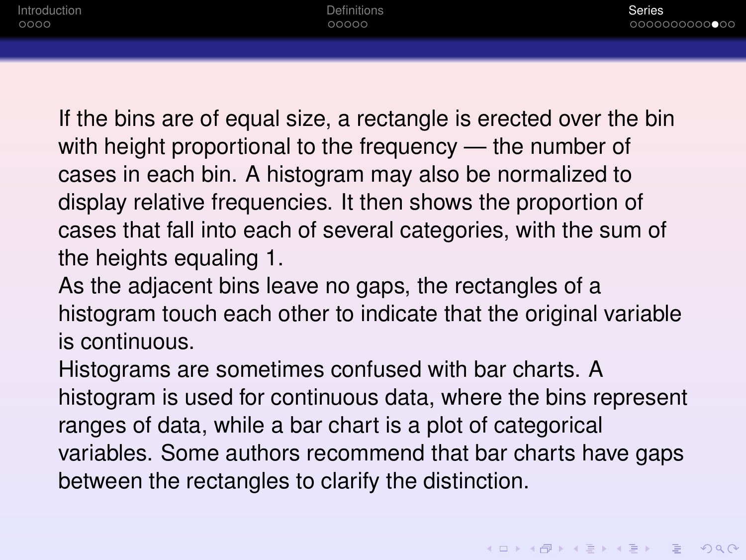If the bins are of equal size, a rectangle is erected over the bin with height proportional to the frequency — the number of cases in each bin. A histogram may also be normalized to display relative frequencies. It then shows the proportion of cases that fall into each of several categories, with the sum of the heights equaling 1.

As the adjacent bins leave no gaps, the rectangles of a histogram touch each other to indicate that the original variable is continuous.

Histograms are sometimes confused with bar charts. A histogram is used for continuous data, where the bins represent ranges of data, while a bar chart is a plot of categorical variables. Some authors recommend that bar charts have gaps between the rectangles to clarify the distinction.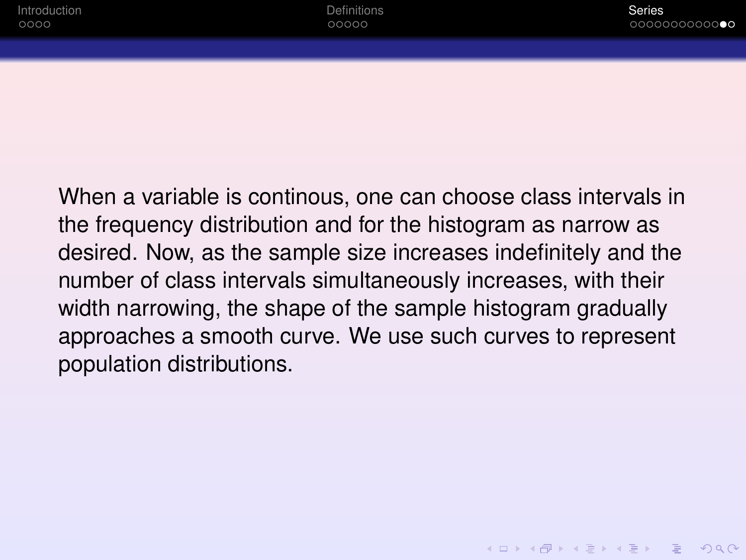When a variable is continous, one can choose class intervals in the frequency distribution and for the histogram as narrow as desired. Now, as the sample size increases indefinitely and the number of class intervals simultaneously increases, with their width narrowing, the shape of the sample histogram gradually approaches a smooth curve. We use such curves to represent population distributions.